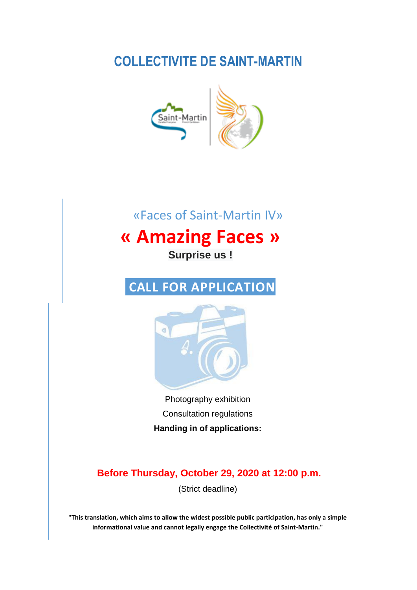# **COLLECTIVITE DE SAINT-MARTIN**



# «Faces of Saint-Martin IV»

# **« Amazing Faces »**

**Surprise us !**

# **CALL FOR APPLICATION**



Photography exhibition Consultation regulations **Handing in of applications:**

**Before Thursday, October 29, 2020 at 12:00 p.m.**

(Strict deadline)

**"This translation, which aims to allow the widest possible public participation, has only a simple informational value and cannot legally engage the Collectivité of Saint-Martin."**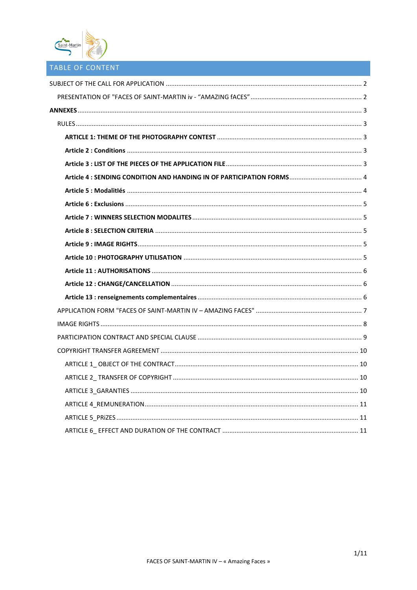

# TABLE OF CONTENT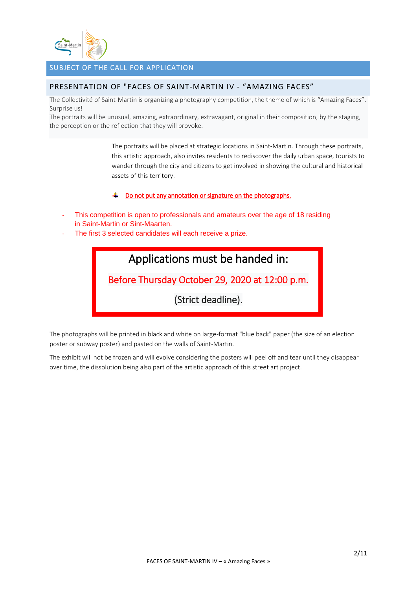

# <span id="page-2-0"></span>SUBJECT OF THE CALL FOR APPLICATION

## <span id="page-2-1"></span>PRESENTATION OF "FACES OF SAINT-MARTIN IV - "AMAZING FACES"

The Collectivité of Saint-Martin is organizing a photography competition, the theme of which is "Amazing Faces". Surprise us!

The portraits will be unusual, amazing, extraordinary, extravagant, original in their composition, by the staging, the perception or the reflection that they will provoke.

> The portraits will be placed at strategic locations in Saint-Martin. Through these portraits, this artistic approach, also invites residents to rediscover the daily urban space, tourists to wander through the city and citizens to get involved in showing the cultural and historical assets of this territory.

#### Do not put any annotation or signature on the photographs. ÷

- This competition is open to professionals and amateurs over the age of 18 residing in Saint-Martin or Sint-Maarten.
- The first 3 selected candidates will each receive a prize.



The photographs will be printed in black and white on large-format "blue back" paper (the size of an election poster or subway poster) and pasted on the walls of Saint-Martin.

The exhibit will not be frozen and will evolve considering the posters will peel off and tear until they disappear over time, the dissolution being also part of the artistic approach of this street art project.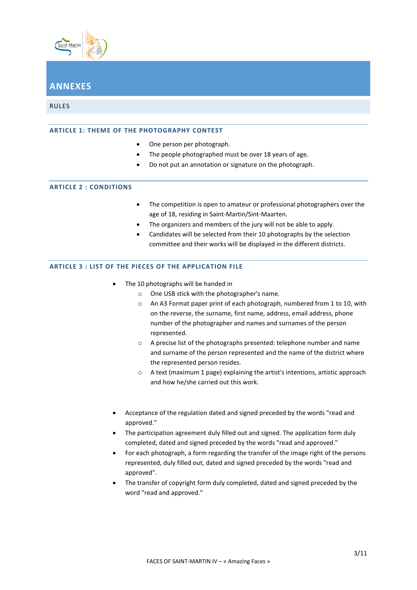

# <span id="page-3-0"></span>**ANNEXES**

<span id="page-3-2"></span><span id="page-3-1"></span>RULES

#### **ARTICLE 1: THEME OF THE PHOTOGRAPHY CONTEST**

- One person per photograph.
- The people photographed must be over 18 years of age.
- Do not put an annotation or signature on the photograph.

#### <span id="page-3-3"></span>**ARTICLE 2 : CONDITIONS**

- The competition is open to amateur or professional photographers over the age of 18, residing in Saint-Martin/Sint-Maarten.
- The organizers and members of the jury will not be able to apply.
- Candidates will be selected from their 10 photographs by the selection committee and their works will be displayed in the different districts.

#### <span id="page-3-4"></span>**ARTICLE 3 : LIST OF THE PIECES OF THE APPLICATION FILE**

- The 10 photographs will be handed in
	- o One USB stick with the photographer's name.
	- o An A3 Format paper print of each photograph, numbered from 1 to 10, with on the reverse, the surname, first name, address, email address, phone number of the photographer and names and surnames of the person represented.
	- o A precise list of the photographs presented: telephone number and name and surname of the person represented and the name of the district where the represented person resides.
	- o A text (maximum 1 page) explaining the artist's intentions, artistic approach and how he/she carried out this work.
- Acceptance of the regulation dated and signed preceded by the words "read and approved."
- The participation agreement duly filled out and signed. The application form duly completed, dated and signed preceded by the words "read and approved."
- For each photograph, a form regarding the transfer of the image right of the persons represented, duly filled out, dated and signed preceded by the words "read and approved".
- The transfer of copyright form duly completed, dated and signed preceded by the word "read and approved."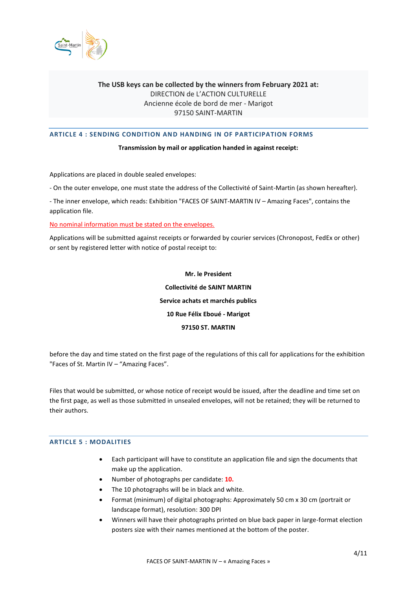

## **The USB keys can be collected by the winners from February 2021 at:** DIRECTION de L'ACTION CULTURELLE Ancienne école de bord de mer - Marigot 97150 SAINT-MARTIN

#### <span id="page-4-0"></span>**ARTICLE 4 : SENDING CONDITION AND HANDING IN OF PARTICIPATION FORMS**

#### **Transmission by mail or application handed in against receipt:**

Applications are placed in double sealed envelopes:

- On the outer envelope, one must state the address of the Collectivité of Saint-Martin (as shown hereafter).

- The inner envelope, which reads: Exhibition "FACES OF SAINT-MARTIN IV – Amazing Faces", contains the application file.

No nominal information must be stated on the envelopes.

Applications will be submitted against receipts or forwarded by courier services (Chronopost, FedEx or other) or sent by registered letter with notice of postal receipt to:

> **Mr. le President Collectivité de SAINT MARTIN Service achats et marchés publics 10 Rue Félix Eboué - Marigot 97150 ST. MARTIN**

before the day and time stated on the first page of the regulations of this call for applications for the exhibition "Faces of St. Martin IV – "Amazing Faces".

Files that would be submitted, or whose notice of receipt would be issued, after the deadline and time set on the first page, as well as those submitted in unsealed envelopes, will not be retained; they will be returned to their authors.

#### <span id="page-4-1"></span>**ARTICLE 5 : MODALITIES**

- Each participant will have to constitute an application file and sign the documents that make up the application.
- Number of photographs per candidate: **10.**
- The 10 photographs will be in black and white.
- Format (minimum) of digital photographs: Approximately 50 cm x 30 cm (portrait or landscape format), resolution: 300 DPI
- Winners will have their photographs printed on blue back paper in large-format election posters size with their names mentioned at the bottom of the poster.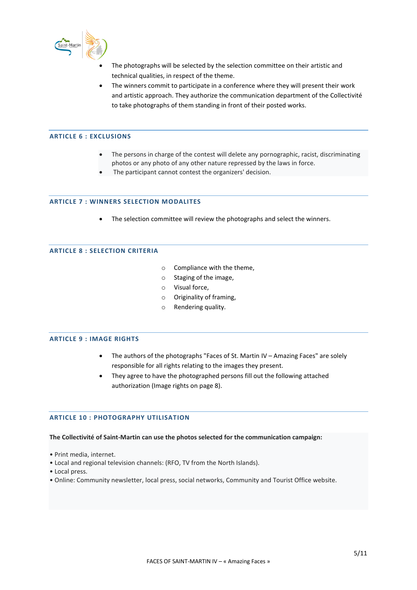

- The photographs will be selected by the selection committee on their artistic and technical qualities, in respect of the theme.
- The winners commit to participate in a conference where they will present their work and artistic approach. They authorize the communication department of the Collectivité to take photographs of them standing in front of their posted works.

#### <span id="page-5-0"></span>**ARTICLE 6 : EXCLUSIONS**

- The persons in charge of the contest will delete any pornographic, racist, discriminating photos or any photo of any other nature repressed by the laws in force.
- The participant cannot contest the organizers' decision.

#### <span id="page-5-1"></span>**ARTICLE 7 : WINNERS SELECTION MODALITES**

• The selection committee will review the photographs and select the winners.

#### <span id="page-5-2"></span>**ARTICLE 8 : SELECTION CRITERIA**

- o Compliance with the theme,
- o Staging of the image,
- o Visual force,
- o Originality of framing,
- o Rendering quality.

#### <span id="page-5-3"></span>**ARTICLE 9 : IMAGE RIGHTS**

- The authors of the photographs "Faces of St. Martin IV Amazing Faces" are solely responsible for all rights relating to the images they present.
- They agree to have the photographed persons fill out the following attached authorization (Image rights on page 8).

#### <span id="page-5-4"></span>**ARTICLE 10 : PHOTOGRAPHY UTILISATION**

#### **The Collectivité of Saint-Martin can use the photos selected for the communication campaign:**

- Print media, internet.
- Local and regional television channels: (RFO, TV from the North Islands).
- Local press.
- Online: Community newsletter, local press, social networks, Community and Tourist Office website.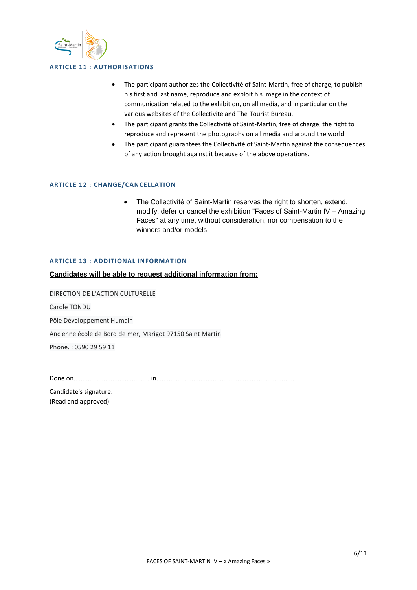

#### <span id="page-6-0"></span>**ARTICLE 11 : AUTHORISATIONS**

- The participant authorizes the Collectivité of Saint-Martin, free of charge, to publish his first and last name, reproduce and exploit his image in the context of communication related to the exhibition, on all media, and in particular on the various websites of the Collectivité and The Tourist Bureau.
- The participant grants the Collectivité of Saint-Martin, free of charge, the right to reproduce and represent the photographs on all media and around the world.
- The participant guarantees the Collectivité of Saint-Martin against the consequences of any action brought against it because of the above operations.

#### <span id="page-6-1"></span>**ARTICLE 12 : CHANGE/CANCELLATION**

• The Collectivité of Saint-Martin reserves the right to shorten, extend, modify, defer or cancel the exhibition "Faces of Saint-Martin IV – Amazing Faces" at any time, without consideration, nor compensation to the winners and/or models.

#### <span id="page-6-2"></span>**ARTICLE 13 : ADDITIONAL INFORMATION**

**Candidates will be able to request additional information from:** 

DIRECTION DE L'ACTION CULTURELLE

Carole TONDU

Pôle Développement Humain

Ancienne école de Bord de mer, Marigot 97150 Saint Martin

Phone. : 0590 29 59 11

Done on........................................... in..............................................................................

Candidate's signature: (Read and approved)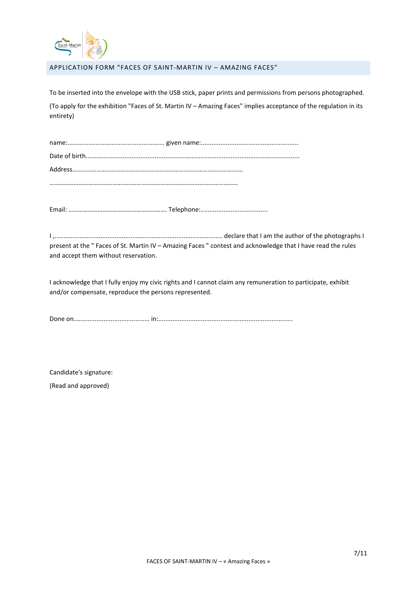

<span id="page-7-0"></span>APPLICATION FORM "FACES OF SAINT-MARTIN IV – AMAZING FACES"

To be inserted into the envelope with the USB stick, paper prints and permissions from persons photographed.

(To apply for the exhibition "Faces of St. Martin IV – Amazing Faces" implies acceptance of the regulation in its entirety)

Email: ……………………………………………………. Telephone:......................................

I ,............................................................................................... declare that I am the author of the photographs I present at the " Faces of St. Martin IV – Amazing Faces " contest and acknowledge that I have read the rules and accept them without reservation.

I acknowledge that I fully enjoy my civic rights and I cannot claim any remuneration to participate, exhibit and/or compensate, reproduce the persons represented.

Done on........................................... in:............................................................................

Candidate's signature:

(Read and approved)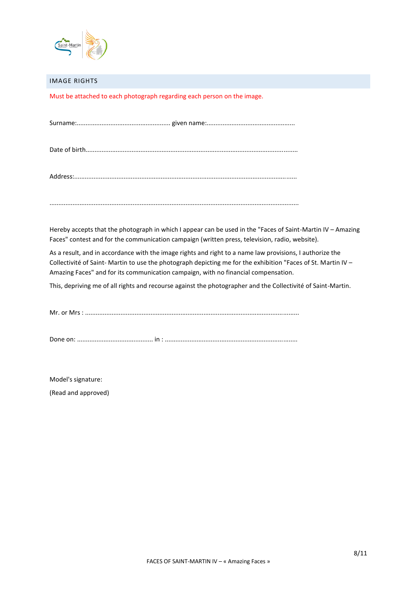

#### <span id="page-8-0"></span>IMAGE RIGHTS

Must be attached to each photograph regarding each person on the image.

|--|--|--|

Date of birth........................................................................................................................

Address:..............................................................................................................................

.............................................................................................................................................

Hereby accepts that the photograph in which I appear can be used in the "Faces of Saint-Martin IV – Amazing Faces" contest and for the communication campaign (written press, television, radio, website).

As a result, and in accordance with the image rights and right to a name law provisions, I authorize the Collectivité of Saint- Martin to use the photograph depicting me for the exhibition "Faces of St. Martin IV – Amazing Faces" and for its communication campaign, with no financial compensation.

This, depriving me of all rights and recourse against the photographer and the Collectivité of Saint-Martin.

Mr. or Mrs : .........................................................................................................................

Done on: ........................................... in : ...........................................................................

Model's signature:

(Read and approved)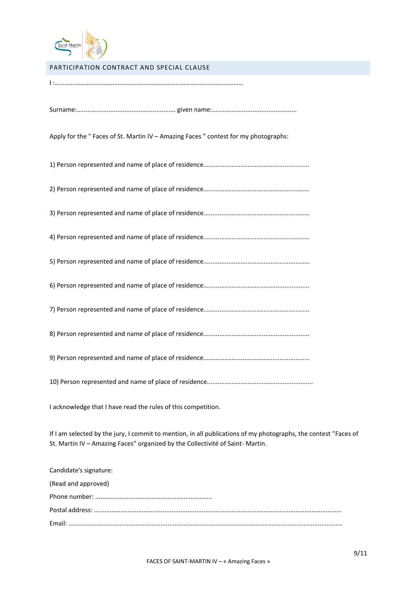

## <span id="page-9-0"></span>PARTICIPATION CONTRACT AND SPECIAL CLAUSE

| Apply for the " Faces of St. Martin IV - Amazing Faces " contest for my photographs:                                                                                                             |
|--------------------------------------------------------------------------------------------------------------------------------------------------------------------------------------------------|
|                                                                                                                                                                                                  |
|                                                                                                                                                                                                  |
|                                                                                                                                                                                                  |
|                                                                                                                                                                                                  |
|                                                                                                                                                                                                  |
|                                                                                                                                                                                                  |
|                                                                                                                                                                                                  |
|                                                                                                                                                                                                  |
|                                                                                                                                                                                                  |
|                                                                                                                                                                                                  |
| I acknowledge that I have read the rules of this competition.                                                                                                                                    |
| If I am selected by the jury, I commit to mention, in all publications of my photographs, the contest "Faces of<br>St. Martin IV - Amazing Faces" organized by the Collectivité of Saint-Martin. |
| Candidate's signature:                                                                                                                                                                           |
| (Read and approved)                                                                                                                                                                              |
|                                                                                                                                                                                                  |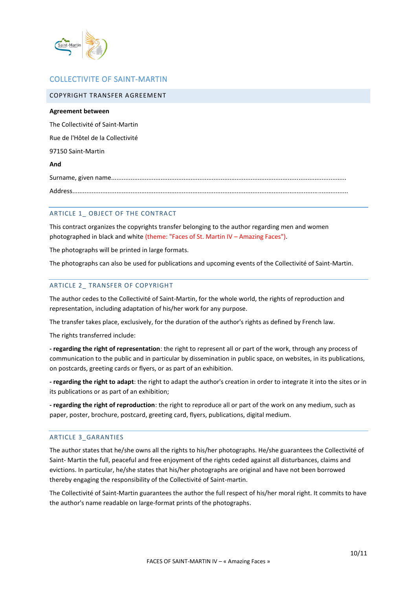

# COLLECTIVITE OF SAINT-MARTIN

<span id="page-10-0"></span>

| COPYRIGHT TRANSFER AGREEMENT      |
|-----------------------------------|
| Agreement between                 |
| The Collectivité of Saint-Martin  |
| Rue de l'Hôtel de la Collectivité |
| 97150 Saint-Martin                |
| And                               |
|                                   |
|                                   |
|                                   |

#### <span id="page-10-1"></span>ARTICLE 1 OBJECT OF THE CONTRACT

This contract organizes the copyrights transfer belonging to the author regarding men and women photographed in black and white (theme: "Faces of St. Martin IV – Amazing Faces").

The photographs will be printed in large formats.

<span id="page-10-2"></span>The photographs can also be used for publications and upcoming events of the Collectivité of Saint-Martin.

#### ARTICLE 2\_ TRANSFER OF COPYRIGHT

The author cedes to the Collectivité of Saint-Martin, for the whole world, the rights of reproduction and representation, including adaptation of his/her work for any purpose.

The transfer takes place, exclusively, for the duration of the author's rights as defined by French law.

The rights transferred include:

**- regarding the right of representation**: the right to represent all or part of the work, through any process of communication to the public and in particular by dissemination in public space, on websites, in its publications, on postcards, greeting cards or flyers, or as part of an exhibition.

**- regarding the right to adapt**: the right to adapt the author's creation in order to integrate it into the sites or in its publications or as part of an exhibition;

**- regarding the right of reproduction**: the right to reproduce all or part of the work on any medium, such as paper, poster, brochure, postcard, greeting card, flyers, publications, digital medium.

#### <span id="page-10-3"></span>ARTICLE 3\_GARANTIES

The author states that he/she owns all the rights to his/her photographs. He/she guarantees the Collectivité of Saint- Martin the full, peaceful and free enjoyment of the rights ceded against all disturbances, claims and evictions. In particular, he/she states that his/her photographs are original and have not been borrowed thereby engaging the responsibility of the Collectivité of Saint-martin.

The Collectivité of Saint-Martin guarantees the author the full respect of his/her moral right. It commits to have the author's name readable on large-format prints of the photographs.